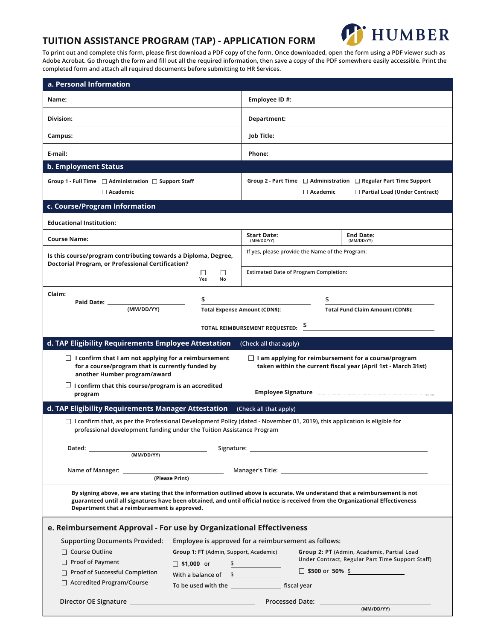#### **TUITION ASSISTANCE PROGRAM (TAP) - APPLICATION FORM**



**To print out and complete this form, please first download a PDF copy of the form. Once downloaded, open the form using a PDF viewer such as Adobe Acrobat. Go through the form and fill out all the required information, then save a copy of the PDF somewhere easily accessible. Print the completed form and attach all required documents before submitting to HR Services.** 

| a. Personal Information                                                                                                                                                                                                              |                                                                                                |                                      |                                                                                                                                                                                                                                                                |  |
|--------------------------------------------------------------------------------------------------------------------------------------------------------------------------------------------------------------------------------------|------------------------------------------------------------------------------------------------|--------------------------------------|----------------------------------------------------------------------------------------------------------------------------------------------------------------------------------------------------------------------------------------------------------------|--|
| Name:                                                                                                                                                                                                                                |                                                                                                | Employee ID #:                       |                                                                                                                                                                                                                                                                |  |
| Division:                                                                                                                                                                                                                            |                                                                                                | Department:                          |                                                                                                                                                                                                                                                                |  |
| Campus:                                                                                                                                                                                                                              |                                                                                                | Job Title:                           |                                                                                                                                                                                                                                                                |  |
| E-mail:                                                                                                                                                                                                                              |                                                                                                | Phone:                               |                                                                                                                                                                                                                                                                |  |
| <b>b. Employment Status</b>                                                                                                                                                                                                          |                                                                                                |                                      |                                                                                                                                                                                                                                                                |  |
| Group 1 - Full Time $\Box$ Administration $\Box$ Support Staff<br>$\Box$ Academic                                                                                                                                                    |                                                                                                |                                      | Group 2 - Part Time $\Box$ Administration $\Box$ Regular Part Time Support<br>$\Box$ Academic<br>$\Box$ Partial Load (Under Contract)                                                                                                                          |  |
| c. Course/Program Information                                                                                                                                                                                                        |                                                                                                |                                      |                                                                                                                                                                                                                                                                |  |
| <b>Educational Institution:</b>                                                                                                                                                                                                      |                                                                                                |                                      |                                                                                                                                                                                                                                                                |  |
| <b>Course Name:</b>                                                                                                                                                                                                                  |                                                                                                | <b>Start Date:</b><br>(MM/DD/YY)     | <b>End Date:</b><br>(MM/DD/YY)                                                                                                                                                                                                                                 |  |
| Is this course/program contributing towards a Diploma, Degree,<br><b>Doctorial Program, or Professional Certification?</b>                                                                                                           |                                                                                                |                                      | If yes, please provide the Name of the Program:                                                                                                                                                                                                                |  |
|                                                                                                                                                                                                                                      | □<br>□<br>Yes<br>No                                                                            |                                      | <b>Estimated Date of Program Completion:</b>                                                                                                                                                                                                                   |  |
| Claim:                                                                                                                                                                                                                               |                                                                                                |                                      |                                                                                                                                                                                                                                                                |  |
| (MM/DD/YY)                                                                                                                                                                                                                           | \$                                                                                             |                                      | \$                                                                                                                                                                                                                                                             |  |
|                                                                                                                                                                                                                                      |                                                                                                | <b>Total Expense Amount (CDN\$):</b> | <b>Total Fund Claim Amount (CDN\$):</b>                                                                                                                                                                                                                        |  |
|                                                                                                                                                                                                                                      |                                                                                                | TOTAL REIMBURSEMENT REQUESTED:       |                                                                                                                                                                                                                                                                |  |
| d. TAP Eligibility Requirements Employee Attestation                                                                                                                                                                                 |                                                                                                | (Check all that apply)               |                                                                                                                                                                                                                                                                |  |
|                                                                                                                                                                                                                                      |                                                                                                |                                      |                                                                                                                                                                                                                                                                |  |
| $\Box$ I confirm that I am not applying for a reimbursement<br>for a course/program that is currently funded by<br>another Humber program/award                                                                                      |                                                                                                |                                      | $\Box$ I am applying for reimbursement for a course/program<br>taken within the current fiscal year (April 1st - March 31st)                                                                                                                                   |  |
| $\Box$ I confirm that this course/program is an accredited                                                                                                                                                                           |                                                                                                |                                      |                                                                                                                                                                                                                                                                |  |
| program                                                                                                                                                                                                                              |                                                                                                |                                      |                                                                                                                                                                                                                                                                |  |
| d. TAP Eligibility Requirements Manager Attestation                                                                                                                                                                                  |                                                                                                | (Check all that apply)               |                                                                                                                                                                                                                                                                |  |
| professional development funding under the Tuition Assistance Program                                                                                                                                                                |                                                                                                |                                      | $\Box$ I confirm that, as per the Professional Development Policy (dated - November 01, 2019), this application is eligible for                                                                                                                                |  |
|                                                                                                                                                                                                                                      |                                                                                                |                                      | Signature: the contract of the contract of the contract of the contract of the contract of the contract of the contract of the contract of the contract of the contract of the contract of the contract of the contract of the                                 |  |
| (MM/DD/YY)                                                                                                                                                                                                                           |                                                                                                |                                      |                                                                                                                                                                                                                                                                |  |
|                                                                                                                                                                                                                                      | the control of the con-                                                                        |                                      |                                                                                                                                                                                                                                                                |  |
|                                                                                                                                                                                                                                      | (Please Print)                                                                                 |                                      |                                                                                                                                                                                                                                                                |  |
| Department that a reimbursement is approved.                                                                                                                                                                                         |                                                                                                |                                      | By signing above, we are stating that the information outlined above is accurate. We understand that a reimbursement is not<br>guaranteed until all signatures have been obtained, and until official notice is received from the Organizational Effectiveness |  |
| e. Reimbursement Approval - For use by Organizational Effectiveness                                                                                                                                                                  |                                                                                                |                                      |                                                                                                                                                                                                                                                                |  |
|                                                                                                                                                                                                                                      |                                                                                                |                                      |                                                                                                                                                                                                                                                                |  |
| <b>Supporting Documents Provided:</b><br>$\Box$ Course Outline                                                                                                                                                                       | Employee is approved for a reimbursement as follows:<br>Group 1: FT (Admin, Support, Academic) |                                      | Group 2: PT (Admin, Academic, Partial Load                                                                                                                                                                                                                     |  |
| $\Box$ Proof of Payment                                                                                                                                                                                                              |                                                                                                |                                      | Under Contract, Regular Part Time Support Staff)                                                                                                                                                                                                               |  |
| □ Proof of Successful Completion                                                                                                                                                                                                     | $\Box$ \$1,000 or                                                                              | $\frac{1}{2}$                        | $\Box$ \$500 or 50% \$                                                                                                                                                                                                                                         |  |
| $\Box$ Accredited Program/Course                                                                                                                                                                                                     | With a balance of $\quad$ \$                                                                   |                                      |                                                                                                                                                                                                                                                                |  |
|                                                                                                                                                                                                                                      |                                                                                                |                                      |                                                                                                                                                                                                                                                                |  |
| Director OE Signature <u>contract and a series of the series of the series of the series of the series of the series of the series of the series of the series of the series of the series of the series of the series of the se</u> |                                                                                                |                                      | (MM/DD/YY)                                                                                                                                                                                                                                                     |  |